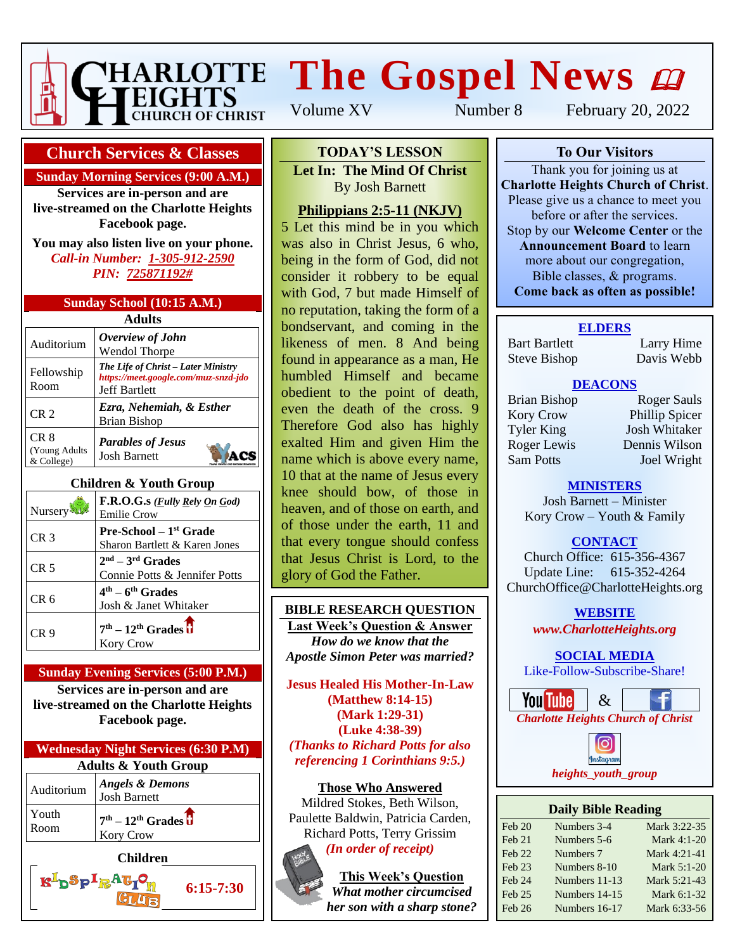

# **The Gospel News**

**To Our Visitors TODAY'S LESSON** Let In: The Mind Of Christ **Charlotte Heights Christian Barnett** Please give us a chance to meet you **Philippians 2:5-11 (NKJV)** 5 Let this mind be in you which was also in Christ Jesus, 6 who, being in the form of God, did not consider it robbery to be equal with God, 7 but made Himself of

no reputation, taking the form of a bondservant, and coming in the likeness of men. 8 And being found in appearance as a man, He humbled Himself and became obedient to the point of death, even the death of the cross. 9 Therefore God also has highly exalted Him and given Him the name which is above every name, 10 that at the name of Jesus every knee should bow, of those in heaven, and of those on earth, and of those under the earth, 11 and that every tongue should confess that Jesus Christ is Lord, to the

Volume XV Number 8 February 20, 2022

## **Church Services & Classes**

#### **Sunday Morning Services (9:00 A.M.)**

**Services are in-person and are live-streamed on the Charlotte Heights Facebook page.**

**You may also listen live on your phone.** *Call-in Number: 1-305-912-2590 PIN: 725871192#*

| Sunday School (10:15 A.M.)             |
|----------------------------------------|
| $\mathbf{A}$ $\mathbf{B}$ $\mathbf{A}$ |

| Adults                               |                                                                                                     |  |  |  |  |
|--------------------------------------|-----------------------------------------------------------------------------------------------------|--|--|--|--|
| Auditorium                           | Overview of John<br><b>Wendol Thorpe</b>                                                            |  |  |  |  |
| Fellowship<br>Room                   | The Life of Christ – Later Ministry<br>https://meet.google.com/muz-snzd-jdo<br><b>Jeff Bartlett</b> |  |  |  |  |
| CR <sub>2</sub>                      | Ezra, Nehemiah, & Esther<br><b>Brian Bishop</b>                                                     |  |  |  |  |
| CR 8<br>(Young Adults)<br>& College) | <b>Parables of Jesus</b><br><b>Josh Barnett</b>                                                     |  |  |  |  |

### **Children & Youth Group**

| Nursery         | F.R.O.G.s ( <i>Fully Rely On God</i> )<br><b>Emilie Crow</b>        |
|-----------------|---------------------------------------------------------------------|
| CR <sub>3</sub> | Pre-School - 1 <sup>st</sup> Grade<br>Sharon Bartlett & Karen Jones |
| CR <sub>5</sub> | $2nd - 3rd$ Grades<br>Connie Potts & Jennifer Potts                 |
| CR 6            | $4th - 6th$ Grades<br>Josh & Janet Whitaker                         |
| CR <sub>9</sub> | $7th - 12th$ Grades $\overline{u}$<br><b>Kory Crow</b>              |

#### **Sunday Evening Services (5:00 P.M.)**

**Services are in-person and are live-streamed on the Charlotte Heights Facebook page.**

| <b>Wednesday Night Services (6:30 P.M)</b> |                                                        |  |  |  |
|--------------------------------------------|--------------------------------------------------------|--|--|--|
| <b>Adults &amp; Youth Group</b>            |                                                        |  |  |  |
| Auditorium                                 | <b>Angels &amp; Demons</b><br><b>Josh Barnett</b>      |  |  |  |
| Youth<br>Room                              | $7th - 12th$ Grades $\overline{U}$<br><b>Kory Crow</b> |  |  |  |
| Children                                   |                                                        |  |  |  |

 $\mathbf{R}^{\mathbf{I}}$ p $\mathbf{S}_{\mathbf{P}}$ I $_{\mathbf{R}}$ A $\mathbf{G}_{\mathbf{I}}$ 

**6:15-7:30**

**Jesus Healed His Mother-In-Law (Matthew 8:14-15) (Mark 1:29-31) (Luke 4:38-39)** *(Thanks to Richard Potts for also referencing 1 Corinthians 9:5.)*

**BIBLE RESEARCH QUESTION Last Week's Question & Answer** *How do we know that the Apostle Simon Peter was married?*

glory of God the Father.

**Those Who Answered** Mildred Stokes, Beth Wilson, Paulette Baldwin, Patricia Carden, Richard Potts, Terry Grissim *(In order of receipt)*

> **This Week's Question** *What mother circumcised her son with a sharp stone?*



#### **To Our Visitors**

Thank you for joining us at **Charlotte Heights Church of Christ**. Please give us a chance to meet you before or after the services. Stop by our **Welcome Center** or the **Announcement Board** to learn more about our congregation, Bible classes, & programs. **Come back as often as possible!**

#### **ELDERS**

Bart Bartlett Larry Hime Steve Bishop Davis Webb

### **DEACONS**

Kory Crow Phillip Spicer Tyler King Josh Whitaker Roger Lewis Dennis Wilson Sam Potts Joel Wright

Brian Bishop Roger Sauls

# **MINISTERS**

Josh Barnett – Minister Kory Crow – Youth & Family

# **CONTACT**

Church Office: 615-356-4367 Update Line: 615-352-4264 ChurchOffice@CharlotteHeights.org

> **Media Postings** *www.CharlotteHeights.org* **WEBSITE**

# **SOCIAL MEDIA**

 $\frac{3001 \text{Al}}{\text{E}}$ Like-Follow-Subscribe-Share!





| <b>Daily Bible Reading</b> |               |              |  |  |  |
|----------------------------|---------------|--------------|--|--|--|
| Feb 20                     | Numbers 3-4   | Mark 3:22-35 |  |  |  |
| Feb 21                     | Numbers 5-6   | Mark 4:1-20  |  |  |  |
| <b>Feb 22</b>              | Numbers 7     | Mark 4:21-41 |  |  |  |
| Feb 23                     | Numbers 8-10  | Mark 5:1-20  |  |  |  |
| Feb 24                     | Numbers 11-13 | Mark 5:21-43 |  |  |  |
| Feb 25                     | Numbers 14-15 | Mark 6:1-32  |  |  |  |
| Feb 26                     | Numbers 16-17 | Mark 6:33-56 |  |  |  |
|                            |               |              |  |  |  |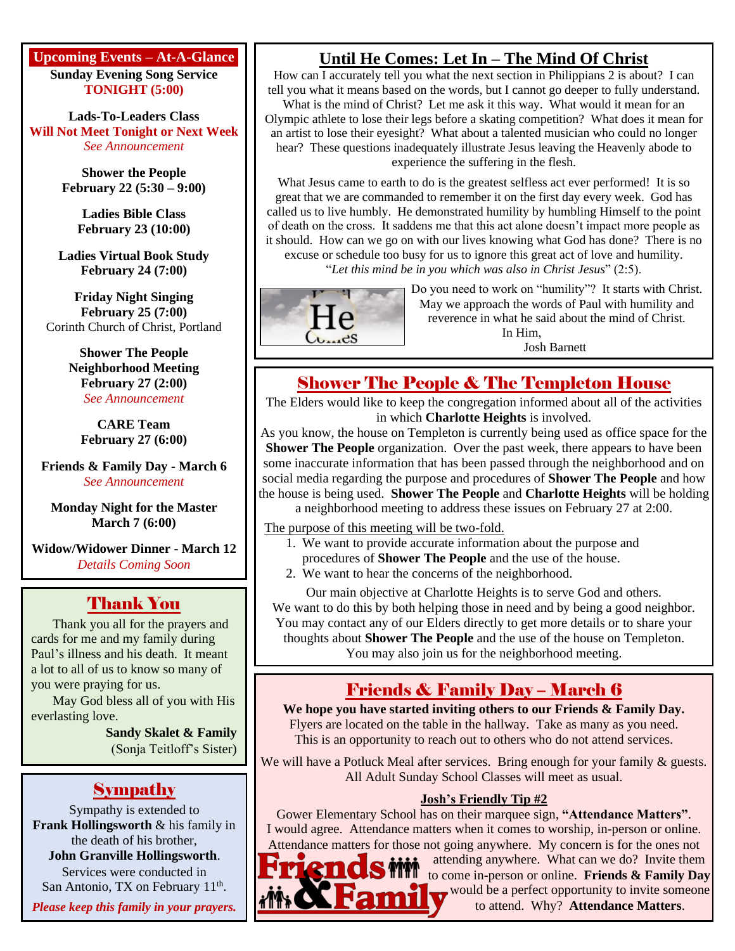## **Upcoming Events – At-A-Glance**

**Sunday Evening Song Service TONIGHT (5:00)**

**Lads-To-Leaders Class Will Not Meet Tonight or Next Week** *See Announcement*

> **Shower the People February 22 (5:30 – 9:00)**

**Ladies Bible Class February 23 (10:00)**

**Ladies Virtual Book Study February 24 (7:00)**

**Friday Night Singing February 25 (7:00)** Corinth Church of Christ, Portland

> **Shower The People Neighborhood Meeting February 27 (2:00)** *See Announcement*

**CARE Team February 27 (6:00)**

**Friends & Family Day - March 6** *See Announcement*

**Monday Night for the Master March 7 (6:00)**

**Widow/Widower Dinner - March 12** *Details Coming Soon*

# Thank You

Thank you all for the prayers and cards for me and my family during Paul's illness and his death. It meant a lot to all of us to know so many of you were praying for us.

May God bless all of you with His everlasting love.

> **Sandy Skalet & Family** (Sonja Teitloff's Sister)

# **Sympathy**

Sympathy is extended to **Frank Hollingsworth** & his family in the death of his brother, **John Granville Hollingsworth**. Services were conducted in San Antonio, TX on February 11<sup>th</sup>.

*Please keep this family in your prayers.*

# **Until He Comes: Let In – The Mind Of Christ**

How can I accurately tell you what the next section in Philippians 2 is about? I can tell you what it means based on the words, but I cannot go deeper to fully understand. What is the mind of Christ? Let me ask it this way. What would it mean for an Olympic athlete to lose their legs before a skating competition? What does it mean for an artist to lose their eyesight? What about a talented musician who could no longer hear? These questions inadequately illustrate Jesus leaving the Heavenly abode to experience the suffering in the flesh.

What Jesus came to earth to do is the greatest selfless act ever performed! It is so great that we are commanded to remember it on the first day every week. God has called us to live humbly. He demonstrated humility by humbling Himself to the point of death on the cross. It saddens me that this act alone doesn't impact more people as it should. How can we go on with our lives knowing what God has done? There is no excuse or schedule too busy for us to ignore this great act of love and humility.

"*Let this mind be in you which was also in Christ Jesus*" (2:5).



Do you need to work on "humility"? It starts with Christ. May we approach the words of Paul with humility and reverence in what he said about the mind of Christ. In Him, Josh Barnett

# Shower The People & The Templeton House

The Elders would like to keep the congregation informed about all of the activities in which **Charlotte Heights** is involved.

As you know, the house on Templeton is currently being used as office space for the **Shower The People** organization. Over the past week, there appears to have been some inaccurate information that has been passed through the neighborhood and on social media regarding the purpose and procedures of **Shower The People** and how the house is being used. **Shower The People** and **Charlotte Heights** will be holding

a neighborhood meeting to address these issues on February 27 at 2:00.

The purpose of this meeting will be two-fold.

- 1. We want to provide accurate information about the purpose and procedures of **Shower The People** and the use of the house.
- 2. We want to hear the concerns of the neighborhood.

Our main objective at Charlotte Heights is to serve God and others. We want to do this by both helping those in need and by being a good neighbor. You may contact any of our Elders directly to get more details or to share your thoughts about **Shower The People** and the use of the house on Templeton. You may also join us for the neighborhood meeting.

# Friends & Family Day – March 6

**We hope you have started inviting others to our Friends & Family Day.** Flyers are located on the table in the hallway. Take as many as you need. This is an opportunity to reach out to others who do not attend services.

We will have a Potluck Meal after services. Bring enough for your family & guests. All Adult Sunday School Classes will meet as usual.

# **Josh's Friendly Tip #2**

Gower Elementary School has on their marquee sign, **"Attendance Matters"**. I would agree. Attendance matters when it comes to worship, in-person or online. Attendance matters for those not going anywhere. My concern is for the ones not

Famil

attending anywhere. What can we do? Invite them to come in-person or online. **Friends & Family Day** would be a perfect opportunity to invite someone to attend. Why? **Attendance Matters**.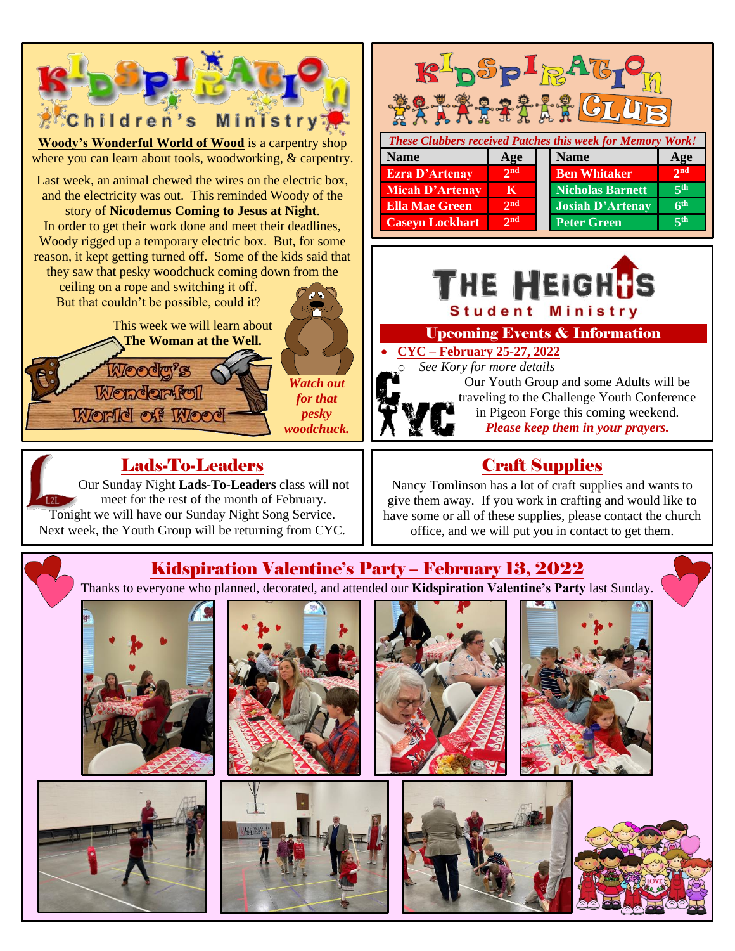